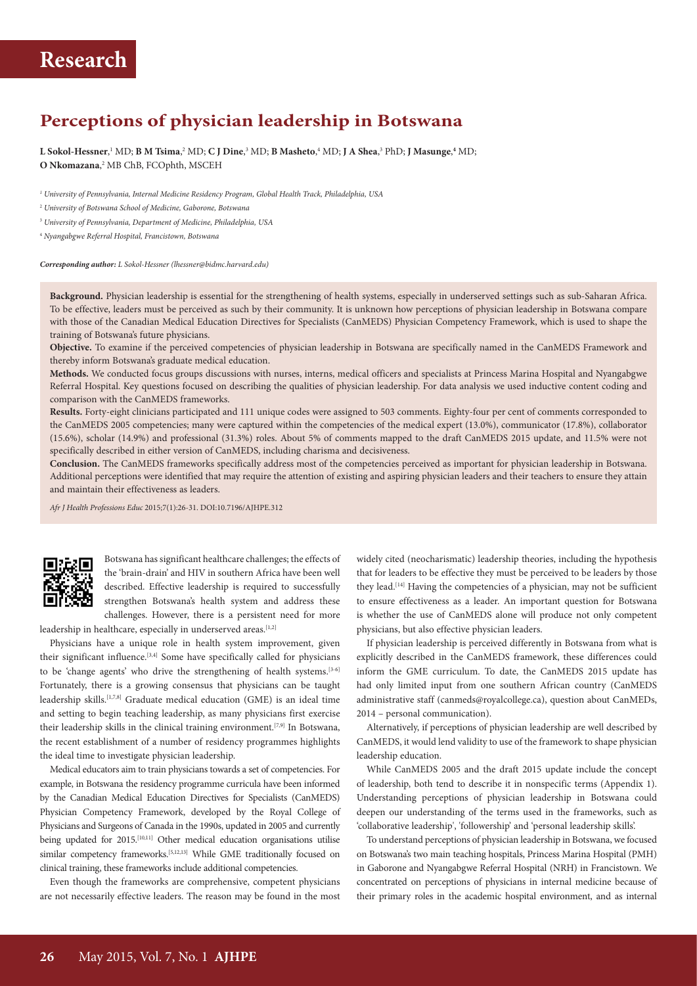## **Perceptions of physician leadership in Botswana**

 $L$  Sokol-Hessner,  $^1$  MD; B M Tsima,  $^2$  MD; C J Dine,  $^3$  MD; B Masheto,  $^4$  MD; J A Shea,  $^3$  PhD; J Masunge,  $^4$  MD; **O Nkomazana**, 2 MB ChB, FCOphth, MSCEH

*1 University of Pennsylvania, Internal Medicine Residency Program, Global Health Track, Philadelphia, USA*

2  *University of Botswana School of Medicine, Gaborone, Botswana*

3  *University of Pennsylvania, Department of Medicine, Philadelphia, USA*

4  *Nyangabgwe Referral Hospital, Francistown, Botswana*

*Corresponding author: L Sokol-Hessner (lhessner@bidmc.harvard.edu)*

**Background.** Physician leadership is essential for the strengthening of health systems, especially in underserved settings such as sub-Saharan Africa. To be effective, leaders must be perceived as such by their community. It is unknown how perceptions of physician leadership in Botswana compare with those of the Canadian Medical Education Directives for Specialists (CanMEDS) Physician Competency Framework, which is used to shape the training of Botswana's future physicians.

**Objective.** To examine if the perceived competencies of physician leadership in Botswana are specifically named in the CanMEDS Framework and thereby inform Botswana's graduate medical education.

**Methods.** We conducted focus groups discussions with nurses, interns, medical officers and specialists at Princess Marina Hospital and Nyangabgwe Referral Hospital. Key questions focused on describing the qualities of physician leadership. For data analysis we used inductive content coding and comparison with the CanMEDS frameworks.

**Results.** Forty-eight clinicians participated and 111 unique codes were assigned to 503 comments. Eighty-four per cent of comments corresponded to the CanMEDS 2005 competencies; many were captured within the competencies of the medical expert (13.0%), communicator (17.8%), collaborator (15.6%), scholar (14.9%) and professional (31.3%) roles. About 5% of comments mapped to the draft CanMEDS 2015 update, and 11.5% were not specifically described in either version of CanMEDS, including charisma and decisiveness.

**Conclusion.** The CanMEDS frameworks specifically address most of the competencies perceived as important for physician leadership in Botswana. Additional perceptions were identified that may require the attention of existing and aspiring physician leaders and their teachers to ensure they attain and maintain their effectiveness as leaders.

*Afr J Health Professions Educ* 2015;7(1):26-31. DOI:10.7196/AJHPE.312



Botswana has significant healthcare challenges; the effects of the 'brain-drain' and HIV in southern Africa have been well described. Effective leadership is required to successfully strengthen Botswana's health system and address these challenges. However, there is a persistent need for more

leadership in healthcare, especially in underserved areas.<sup>[1,2]</sup>

Physicians have a unique role in health system improvement, given their significant influence. $[3,4]$  Some have specifically called for physicians to be 'change agents' who drive the strengthening of health systems.<sup>[3-6]</sup> Fortunately, there is a growing consensus that physicians can be taught leadership skills.[1,7,8] Graduate medical education (GME) is an ideal time and setting to begin teaching leadership, as many physicians first exercise their leadership skills in the clinical training environment.<sup>[7,9]</sup> In Botswana, the recent establishment of a number of residency programmes highlights the ideal time to investigate physician leadership.

Medical educators aim to train physicians towards a set of competencies. For example, in Botswana the residency programme curricula have been informed by the Canadian Medical Education Directives for Specialists (CanMEDS) Physician Competency Framework, developed by the Royal College of Physicians and Surgeons of Canada in the 1990s, updated in 2005 and currently being updated for 2015.<sup>[10,11]</sup> Other medical education organisations utilise similar competency frameworks.<sup>[5,12,13]</sup> While GME traditionally focused on clinical training, these frameworks include additional competencies.

Even though the frameworks are comprehensive, competent physicians are not necessarily effective leaders. The reason may be found in the most

widely cited (neocharismatic) leadership theories, including the hypothesis that for leaders to be effective they must be perceived to be leaders by those they lead.<sup>[14]</sup> Having the competencies of a physician, may not be sufficient to ensure effectiveness as a leader. An important question for Botswana is whether the use of CanMEDS alone will produce not only competent physicians, but also effective physician leaders.

If physician leadership is perceived differently in Botswana from what is explicitly described in the CanMEDS framework, these differences could inform the GME curriculum. To date, the CanMEDS 2015 update has had only limited input from one southern African country (CanMEDS administrative staff (canmeds@royalcollege.ca), question about CanMEDs, 2014 – personal communication).

Alternatively, if perceptions of physician leadership are well described by CanMEDS, it would lend validity to use of the framework to shape physician leadership education.

While CanMEDS 2005 and the draft 2015 update include the concept of leadership, both tend to describe it in nonspecific terms (Appendix 1). Understanding perceptions of physician leadership in Botswana could deepen our understanding of the terms used in the frameworks, such as 'collaborative leadership', 'followership' and 'personal leadership skills'.

To understand perceptions of physician leadership in Botswana, we focused on Botswana's two main teaching hospitals, Princess Marina Hospital (PMH) in Gaborone and Nyangabgwe Referral Hospital (NRH) in Francistown. We concentrated on perceptions of physicians in internal medicine because of their primary roles in the academic hospital environment, and as internal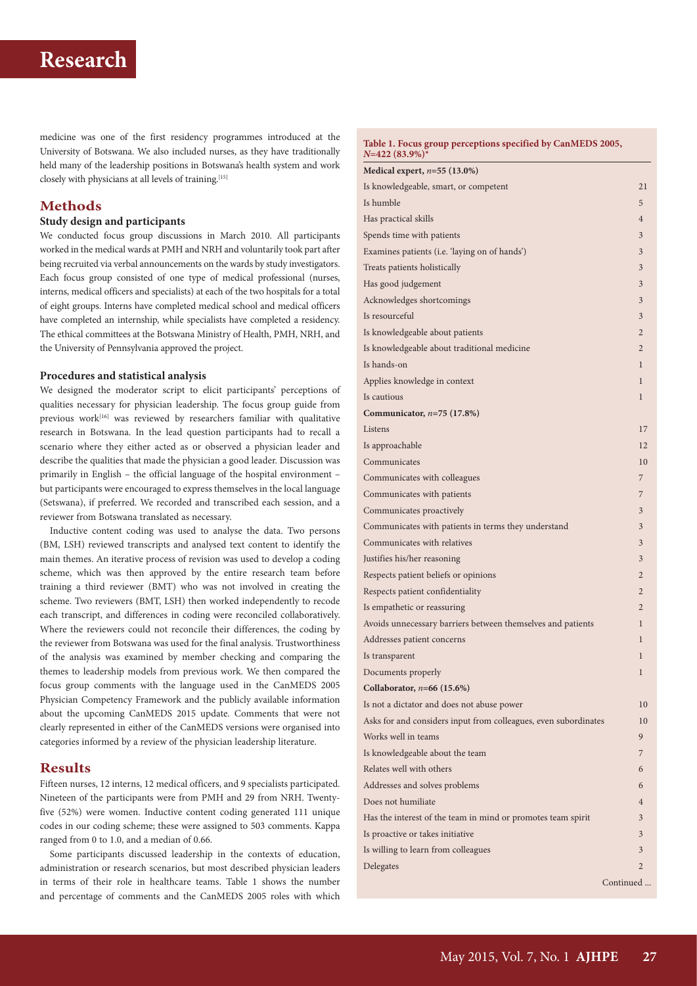medicine was one of the first residency programmes introduced at the University of Botswana. We also included nurses, as they have traditionally held many of the leadership positions in Botswana's health system and work closely with physicians at all levels of training.<sup>[15]</sup>

## **Methods**

#### **Study design and participants**

We conducted focus group discussions in March 2010. All participants worked in the medical wards at PMH and NRH and voluntarily took part after being recruited via verbal announcements on the wards by study investigators. Each focus group consisted of one type of medical professional (nurses, interns, medical officers and specialists) at each of the two hospitals for a total of eight groups. Interns have completed medical school and medical officers have completed an internship, while specialists have completed a residency. The ethical committees at the Botswana Ministry of Health, PMH, NRH, and the University of Pennsylvania approved the project.

### **Procedures and statistical analysis**

We designed the moderator script to elicit participants' perceptions of qualities necessary for physician leadership. The focus group guide from previous work<sup>[16]</sup> was reviewed by researchers familiar with qualitative research in Botswana. In the lead question participants had to recall a scenario where they either acted as or observed a physician leader and describe the qualities that made the physician a good leader. Discussion was primarily in English – the official language of the hospital environment – but participants were encouraged to express themselves in the local language (Setswana), if preferred. We recorded and transcribed each session, and a reviewer from Botswana translated as necessary.

Inductive content coding was used to analyse the data. Two persons (BM, LSH) reviewed transcripts and analysed text content to identify the main themes. An iterative process of revision was used to develop a coding scheme, which was then approved by the entire research team before training a third reviewer (BMT) who was not involved in creating the scheme. Two reviewers (BMT, LSH) then worked independently to recode each transcript, and differences in coding were reconciled collaboratively. Where the reviewers could not reconcile their differences, the coding by the reviewer from Botswana was used for the final analysis. Trustworthiness of the analysis was examined by member checking and comparing the themes to leadership models from previous work. We then compared the focus group comments with the language used in the CanMEDS 2005 Physician Competency Framework and the publicly available information about the upcoming CanMEDS 2015 update. Comments that were not clearly represented in either of the CanMEDS versions were organised into categories informed by a review of the physician leadership literature.

## **Results**

Fifteen nurses, 12 interns, 12 medical officers, and 9 specialists participated. Nineteen of the participants were from PMH and 29 from NRH. Twentyfive (52%) were women. Inductive content coding generated 111 unique codes in our coding scheme; these were assigned to 503 comments. Kappa ranged from 0 to 1.0, and a median of 0.66.

Some participants discussed leadership in the contexts of education, administration or research scenarios, but most described physician leaders in terms of their role in healthcare teams. Table 1 shows the number and percentage of comments and the CanMEDS 2005 roles with which

**Table 1. Focus group perceptions specified by CanMEDS 2005,**   $N=422(83.9\%)$ 

| Medical expert, $n=55$ (13.0%)                                  |                |
|-----------------------------------------------------------------|----------------|
| Is knowledgeable, smart, or competent                           | 21             |
| Is humble                                                       | 5              |
| Has practical skills                                            | $\overline{4}$ |
| Spends time with patients                                       | 3              |
| Examines patients (i.e. 'laying on of hands')                   | 3              |
| Treats patients holistically                                    | 3              |
| Has good judgement                                              | 3              |
| Acknowledges shortcomings                                       | 3              |
| Is resourceful                                                  | 3              |
| Is knowledgeable about patients                                 | $\overline{2}$ |
| Is knowledgeable about traditional medicine                     | $\overline{2}$ |
| Is hands-on                                                     | 1              |
| Applies knowledge in context                                    | 1              |
| Is cautious                                                     | 1              |
| Communicator, $n=75$ (17.8%)                                    |                |
| Listens                                                         | 17             |
| Is approachable                                                 | 12             |
| Communicates                                                    | 10             |
| Communicates with colleagues                                    | 7              |
| Communicates with patients                                      | 7              |
| Communicates proactively                                        | 3              |
| Communicates with patients in terms they understand             | 3              |
| Communicates with relatives                                     | 3              |
| Justifies his/her reasoning                                     | 3              |
| Respects patient beliefs or opinions                            | $\overline{2}$ |
| Respects patient confidentiality                                | $\overline{2}$ |
| Is empathetic or reassuring                                     | $\overline{2}$ |
| Avoids unnecessary barriers between themselves and patients     | 1              |
| Addresses patient concerns                                      | 1              |
| Is transparent                                                  | 1              |
| Documents properly                                              | 1              |
| Collaborator, $n=66$ (15.6%)                                    |                |
| Is not a dictator and does not abuse power                      | 10             |
| Asks for and considers input from colleagues, even subordinates | 10             |
| Works well in teams                                             | 9              |
| Is knowledgeable about the team                                 | 7              |
| Relates well with others                                        | 6              |
| Addresses and solves problems                                   | 6              |
| Does not humiliate                                              | $\overline{4}$ |
| Has the interest of the team in mind or promotes team spirit    | 3              |
| Is proactive or takes initiative                                | 3              |
| Is willing to learn from colleagues                             | 3              |
| Delegates                                                       | 2              |
|                                                                 | Continued      |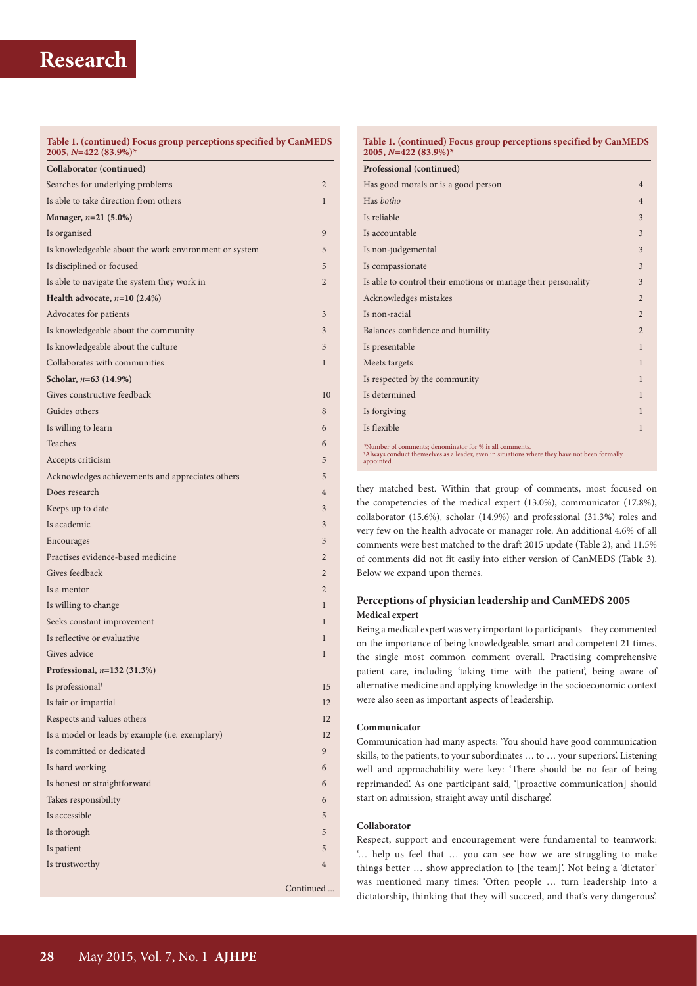#### **Table 1. (continued) Focus group perceptions specified by CanMEDS 2005,** *N***=422 (83.9%)\***

| Collaborator (continued)                              |                |
|-------------------------------------------------------|----------------|
| Searches for underlying problems                      | $\overline{2}$ |
| Is able to take direction from others                 | 1              |
| Manager, n=21 (5.0%)                                  |                |
| Is organised                                          | 9              |
| Is knowledgeable about the work environment or system | 5              |
| Is disciplined or focused                             | 5              |
| Is able to navigate the system they work in           | $\overline{2}$ |
| Health advocate, $n=10$ (2.4%)                        |                |
| Advocates for patients                                | 3              |
| Is knowledgeable about the community                  | 3              |
| Is knowledgeable about the culture                    | 3              |
| Collaborates with communities                         | 1              |
| Scholar, $n=63$ (14.9%)                               |                |
| Gives constructive feedback                           | 10             |
| Guides others                                         | 8              |
| Is willing to learn                                   | 6              |
| Teaches                                               | 6              |
| Accepts criticism                                     | 5              |
| Acknowledges achievements and appreciates others      | 5              |
| Does research                                         | $\overline{4}$ |
| Keeps up to date                                      | 3              |
| Is academic                                           | 3              |
| Encourages                                            | 3              |
| Practises evidence-based medicine                     | $\overline{2}$ |
| Gives feedback                                        | $\overline{2}$ |
| Is a mentor                                           | $\overline{2}$ |
| Is willing to change                                  | 1              |
| Seeks constant improvement                            | 1              |
| Is reflective or evaluative                           | 1              |
| Gives advice                                          | $\mathbf{1}$   |
| Professional, $n=132$ (31.3%)                         |                |
| Is professional <sup>†</sup>                          | 15             |
| Is fair or impartial                                  | 12             |
| Respects and values others                            | 12             |
| Is a model or leads by example (i.e. exemplary)       | 12             |
| Is committed or dedicated                             | 9              |
| Is hard working                                       | 6              |
| Is honest or straightforward                          | 6              |
| Takes responsibility                                  | 6              |
| Is accessible                                         | 5              |
| Is thorough                                           | 5              |
| Is patient                                            | 5              |
| Is trustworthy                                        | $\overline{4}$ |
|                                                       | Continued      |
|                                                       |                |

## **Table 1. (continued) Focus group perceptions specified by CanMEDS 2005,** *N***=422 (83.9%)\* Professional (continued)** Has good morals or is a good person 4 Has *botho* 4 Is reliable  $\sim$  3 Is accountable 3 Is non-judgemental 3 Is compassionate 3 Is able to control their emotions or manage their personality 3 Acknowledges mistakes 22 Is non-racial  $\sqrt{2}$ Balances confidence and humility 2 Is presentable 1 and 1 and 1 and 1 and 1 and 1 and 1 and 1 and 1 and 1 and 1 and 1 and 1 and 1 and 1 and 1 and 1 and 1 and 1 and 1 and 1 and 1 and 1 and 1 and 1 and 1 and 1 and 1 and 1 and 1 and 1 and 1 and 1 and 1 and 1 a Meets targets **1** Is respected by the community  $1$ Is determined and the set of the set of the set of the set of the set of the set of the set of the set of the set of the set of the set of the set of the set of the set of the set of the set of the set of the set of the se Is forgiving  $1$ Is flexible 1 and 1 and 1 and 1 and 1 and 1 and 1 and 1 and 1 and 1 and 1 and 1 and 1 and 1 and 1 and 1 and 1 and 1 and 1 and 1 and 1 and 1 and 1 and 1 and 1 and 1 and 1 and 1 and 1 and 1 and 1 and 1 and 1 and 1 and 1 and *\**Number of comments; denominator for % is all comments. † Always conduct themselves as a leader, even in situations where they have not been formally appointed.

they matched best. Within that group of comments, most focused on the competencies of the medical expert (13.0%), communicator (17.8%), collaborator (15.6%), scholar (14.9%) and professional (31.3%) roles and very few on the health advocate or manager role. An additional 4.6% of all comments were best matched to the draft 2015 update (Table 2), and 11.5% of comments did not fit easily into either version of CanMEDS (Table 3). Below we expand upon themes.

## **Perceptions of physician leadership and CanMEDS 2005 Medical expert**

Being a medical expert was very important to participants – they commented on the importance of being knowledgeable, smart and competent 21 times, the single most common comment overall. Practising comprehensive patient care, including 'taking time with the patient', being aware of alternative medicine and applying knowledge in the socioeconomic context were also seen as important aspects of leadership.

## **Communicator**

Communication had many aspects: 'You should have good communication skills, to the patients, to your subordinates … to … your superiors'. Listening well and approachability were key: 'There should be no fear of being reprimanded'. As one participant said, '[proactive communication] should start on admission, straight away until discharge'.

## **Collaborator**

Respect, support and encouragement were fundamental to teamwork: '… help us feel that … you can see how we are struggling to make things better … show appreciation to [the team]'. Not being a 'dictator' was mentioned many times: 'Often people … turn leadership into a dictatorship, thinking that they will succeed, and that's very dangerous'.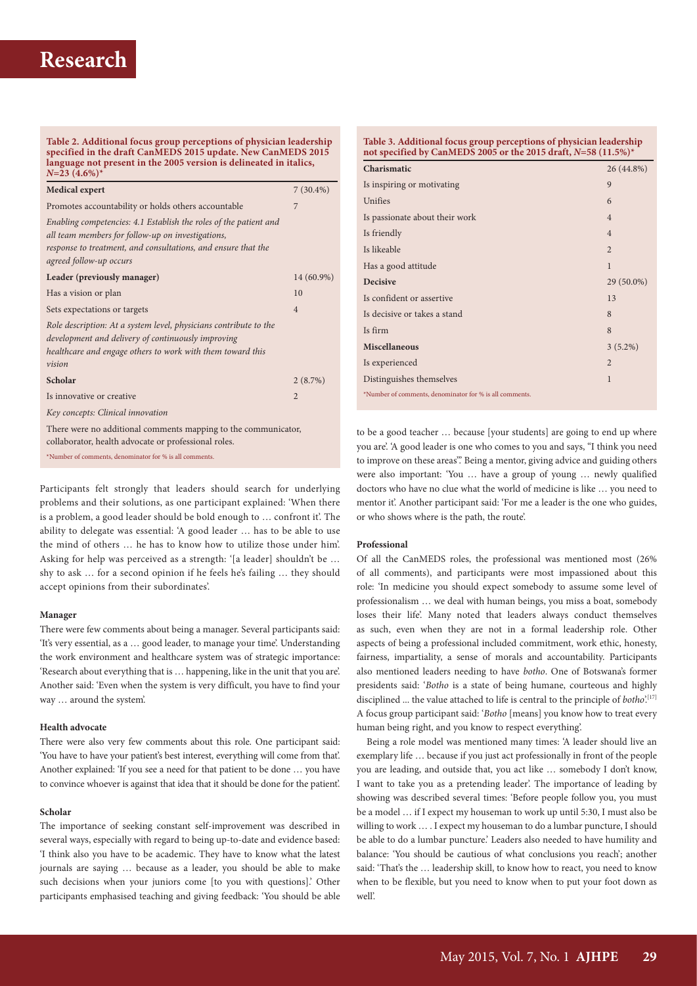**Table 2. Additional focus group perceptions of physician leadership specified in the draft CanMEDS 2015 update. New CanMEDS 2015 language not present in the 2005 version is delineated in italics,** 

| $N=23$ $(4.6\%)^*$                                                                                                                                                                                                 |                |
|--------------------------------------------------------------------------------------------------------------------------------------------------------------------------------------------------------------------|----------------|
| <b>Medical expert</b>                                                                                                                                                                                              | $7(30.4\%)$    |
| Promotes accountability or holds others accountable                                                                                                                                                                | 7              |
| Enabling competencies: 4.1 Establish the roles of the patient and<br>all team members for follow-up on investigations,<br>response to treatment, and consultations, and ensure that the<br>agreed follow-up occurs |                |
| Leader (previously manager)                                                                                                                                                                                        | 14 (60.9%)     |
| Has a vision or plan                                                                                                                                                                                               | 10             |
| Sets expectations or targets                                                                                                                                                                                       | $\overline{4}$ |
| Role description: At a system level, physicians contribute to the<br>development and delivery of continuously improving<br>healthcare and engage others to work with them toward this<br>vision                    |                |
| Scholar                                                                                                                                                                                                            | 2(8.7%)        |
| Is innovative or creative                                                                                                                                                                                          | $\overline{2}$ |
| Key concepts: Clinical innovation                                                                                                                                                                                  |                |
| There were no additional comments mapping to the communicator,<br>collaborator, health advocate or professional roles.                                                                                             |                |

\*Number of comments, denominator for % is all comments.

Participants felt strongly that leaders should search for underlying problems and their solutions, as one participant explained: 'When there is a problem, a good leader should be bold enough to … confront it'. The ability to delegate was essential: 'A good leader … has to be able to use the mind of others … he has to know how to utilize those under him'. Asking for help was perceived as a strength: '[a leader] shouldn't be … shy to ask … for a second opinion if he feels he's failing … they should accept opinions from their subordinates'.

#### **Manager**

There were few comments about being a manager. Several participants said: 'It's very essential, as a … good leader, to manage your time'. Understanding the work environment and healthcare system was of strategic importance: 'Research about everything that is … happening, like in the unit that you are'. Another said: 'Even when the system is very difficult, you have to find your way … around the system'.

### **Health advocate**

There were also very few comments about this role. One participant said: 'You have to have your patient's best interest, everything will come from that'. Another explained: 'If you see a need for that patient to be done … you have to convince whoever is against that idea that it should be done for the patient'.

#### **Scholar**

The importance of seeking constant self-improvement was described in several ways, especially with regard to being up-to-date and evidence based: 'I think also you have to be academic. They have to know what the latest journals are saying … because as a leader, you should be able to make such decisions when your juniors come [to you with questions].' Other participants emphasised teaching and giving feedback: 'You should be able

| Table 3. Additional focus group perceptions of physician leadership<br>not specified by CanMEDS 2005 or the 2015 draft, N=58 (11.5%)* |                |  |
|---------------------------------------------------------------------------------------------------------------------------------------|----------------|--|
| Charismatic                                                                                                                           | 26 (44.8%)     |  |
| Is inspiring or motivating                                                                                                            | 9              |  |
| Unifies                                                                                                                               | 6              |  |
| Is passionate about their work                                                                                                        | $\overline{4}$ |  |
| Is friendly                                                                                                                           | $\overline{4}$ |  |
| Is likeable                                                                                                                           | $\overline{2}$ |  |
| Has a good attitude                                                                                                                   | $\mathbf{1}$   |  |
| <b>Decisive</b>                                                                                                                       | 29 (50.0%)     |  |
| Is confident or assertive                                                                                                             | 13             |  |
| Is decisive or takes a stand                                                                                                          | 8              |  |
| Is firm                                                                                                                               | 8              |  |
| <b>Miscellaneous</b>                                                                                                                  | $3(5.2\%)$     |  |
| Is experienced                                                                                                                        | $\overline{2}$ |  |
| Distinguishes themselves                                                                                                              | 1              |  |
| *Number of comments, denominator for % is all comments.                                                                               |                |  |

to be a good teacher … because [your students] are going to end up where you are'. 'A good leader is one who comes to you and says, "I think you need to improve on these areas".' Being a mentor, giving advice and guiding others were also important: 'You … have a group of young … newly qualified doctors who have no clue what the world of medicine is like … you need to mentor it'. Another participant said: 'For me a leader is the one who guides, or who shows where is the path, the route'.

#### **Professional**

Of all the CanMEDS roles, the professional was mentioned most (26% of all comments), and participants were most impassioned about this role: 'In medicine you should expect somebody to assume some level of professionalism … we deal with human beings, you miss a boat, somebody loses their life'. Many noted that leaders always conduct themselves as such, even when they are not in a formal leadership role. Other aspects of being a professional included commitment, work ethic, honesty, fairness, impartiality, a sense of morals and accountability. Participants also mentioned leaders needing to have *botho*. One of Botswana's former presidents said: '*Botho* is a state of being humane, courteous and highly disciplined ... the value attached to life is central to the principle of *botho*'.<sup>[17]</sup> A focus group participant said: '*Botho* [means] you know how to treat every human being right, and you know to respect everything'.

Being a role model was mentioned many times: 'A leader should live an exemplary life … because if you just act professionally in front of the people you are leading, and outside that, you act like … somebody I don't know, I want to take you as a pretending leader'. The importance of leading by showing was described several times: 'Before people follow you, you must be a model … if I expect my houseman to work up until 5:30, I must also be willing to work … . I expect my houseman to do a lumbar puncture, I should be able to do a lumbar puncture.' Leaders also needed to have humility and balance: 'You should be cautious of what conclusions you reach'; another said: 'That's the … leadership skill, to know how to react, you need to know when to be flexible, but you need to know when to put your foot down as well'.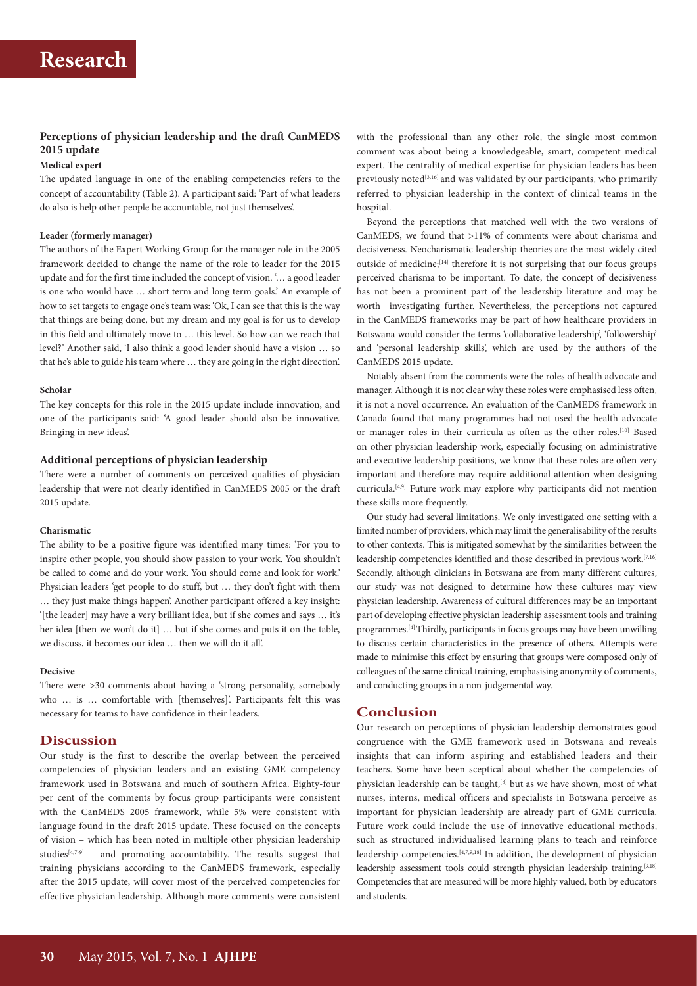## **Perceptions of physician leadership and the draft CanMEDS 2015 update**

## **Medical expert**

The updated language in one of the enabling competencies refers to the concept of accountability (Table 2). A participant said: 'Part of what leaders do also is help other people be accountable, not just themselves'.

#### **Leader (formerly manager)**

The authors of the Expert Working Group for the manager role in the 2005 framework decided to change the name of the role to leader for the 2015 update and for the first time included the concept of vision. '… a good leader is one who would have … short term and long term goals.' An example of how to set targets to engage one's team was: 'Ok, I can see that this is the way that things are being done, but my dream and my goal is for us to develop in this field and ultimately move to … this level. So how can we reach that level?' Another said, 'I also think a good leader should have a vision … so that he's able to guide his team where … they are going in the right direction'.

#### **Scholar**

The key concepts for this role in the 2015 update include innovation, and one of the participants said: 'A good leader should also be innovative. Bringing in new ideas'.

### **Additional perceptions of physician leadership**

There were a number of comments on perceived qualities of physician leadership that were not clearly identified in CanMEDS 2005 or the draft 2015 update.

### **Charismatic**

The ability to be a positive figure was identified many times: 'For you to inspire other people, you should show passion to your work. You shouldn't be called to come and do your work. You should come and look for work.' Physician leaders 'get people to do stuff, but … they don't fight with them … they just make things happen'. Another participant offered a key insight: '[the leader] may have a very brilliant idea, but if she comes and says … it's her idea [then we won't do it] … but if she comes and puts it on the table, we discuss, it becomes our idea … then we will do it all'.

#### **Decisive**

There were >30 comments about having a 'strong personality, somebody who ... is ... comfortable with [themselves]'. Participants felt this was necessary for teams to have confidence in their leaders.

## **Discussion**

Our study is the first to describe the overlap between the perceived competencies of physician leaders and an existing GME competency framework used in Botswana and much of southern Africa. Eighty-four per cent of the comments by focus group participants were consistent with the CanMEDS 2005 framework, while 5% were consistent with language found in the draft 2015 update. These focused on the concepts of vision – which has been noted in multiple other physician leadership studies<sup>[4,7-9]</sup> – and promoting accountability. The results suggest that training physicians according to the CanMEDS framework, especially after the 2015 update, will cover most of the perceived competencies for effective physician leadership. Although more comments were consistent

with the professional than any other role, the single most common comment was about being a knowledgeable, smart, competent medical expert. The centrality of medical expertise for physician leaders has been previously noted<sup>[3,16]</sup> and was validated by our participants, who primarily referred to physician leadership in the context of clinical teams in the hospital.

Beyond the perceptions that matched well with the two versions of CanMEDS, we found that >11% of comments were about charisma and decisiveness. Neocharismatic leadership theories are the most widely cited outside of medicine;<sup>[14]</sup> therefore it is not surprising that our focus groups perceived charisma to be important. To date, the concept of decisiveness has not been a prominent part of the leadership literature and may be worth investigating further. Nevertheless, the perceptions not captured in the CanMEDS frameworks may be part of how healthcare providers in Botswana would consider the terms 'collaborative leadership', 'followership' and 'personal leadership skills', which are used by the authors of the CanMEDS 2015 update.

Notably absent from the comments were the roles of health advocate and manager. Although it is not clear why these roles were emphasised less often, it is not a novel occurrence. An evaluation of the CanMEDS framework in Canada found that many programmes had not used the health advocate or manager roles in their curricula as often as the other roles.[10] Based on other physician leadership work, especially focusing on administrative and executive leadership positions, we know that these roles are often very important and therefore may require additional attention when designing curricula.[4,9] Future work may explore why participants did not mention these skills more frequently.

Our study had several limitations. We only investigated one setting with a limited number of providers, which may limit the generalisability of the results to other contexts. This is mitigated somewhat by the similarities between the leadership competencies identified and those described in previous work.[7,16] Secondly, although clinicians in Botswana are from many different cultures, our study was not designed to determine how these cultures may view physician leadership. Awareness of cultural differences may be an important part of developing effective physician leadership assessment tools and training programmes.[4] Thirdly, participants in focus groups may have been unwilling to discuss certain characteristics in the presence of others. Attempts were made to minimise this effect by ensuring that groups were composed only of colleagues of the same clinical training, emphasising anonymity of comments, and conducting groups in a non-judgemental way.

## **Conclusion**

Our research on perceptions of physician leadership demonstrates good congruence with the GME framework used in Botswana and reveals insights that can inform aspiring and established leaders and their teachers. Some have been sceptical about whether the competencies of physician leadership can be taught,<sup>[8]</sup> but as we have shown, most of what nurses, interns, medical officers and specialists in Botswana perceive as important for physician leadership are already part of GME curricula. Future work could include the use of innovative educational methods, such as structured individualised learning plans to teach and reinforce leadership competencies.[4,7,9,18] In addition, the development of physician leadership assessment tools could strength physician leadership training.[9,18] Competencies that are measured will be more highly valued, both by educators and students.